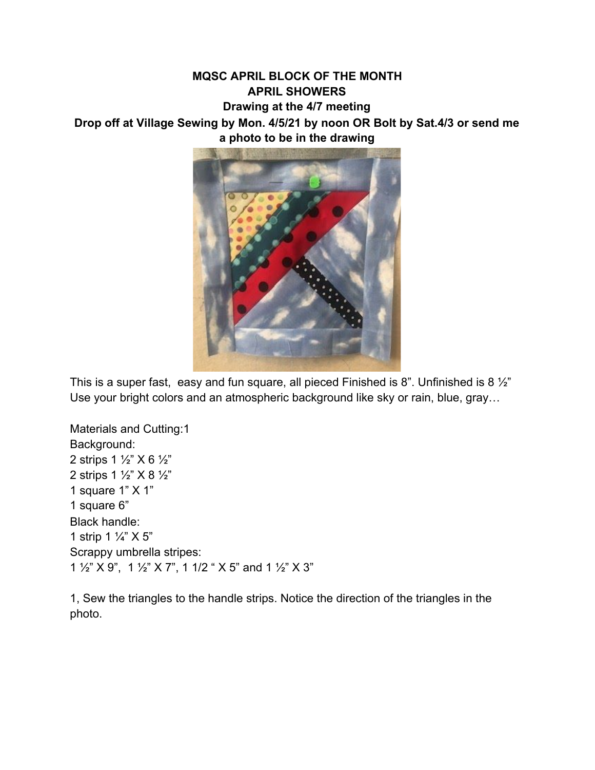## **MQSC APRIL BLOCK OF THE MONTH APRIL SHOWERS Drawing at the 4/7 meeting Drop off at Village Sewing by Mon. 4/5/21 by noon OR Bolt by Sat.4/3 or send me a photo to be in the drawing**



This is a super fast, easy and fun square, all pieced Finished is 8". Unfinished is 8  $\frac{1}{2}$ " Use your bright colors and an atmospheric background like sky or rain, blue, gray…

Materials and Cutting:1 Background: 2 strips 1 ½" X 6 ½" 2 strips 1 ½" X 8 ½" 1 square 1" X 1" 1 square 6" Black handle: 1 strip 1  $\frac{1}{4}$   $\times$  5" Scrappy umbrella stripes: 1 ½" X 9", 1 ½" X 7", 1 1/2 " X 5" and 1 ½" X 3"

1, Sew the triangles to the handle strips. Notice the direction of the triangles in the photo.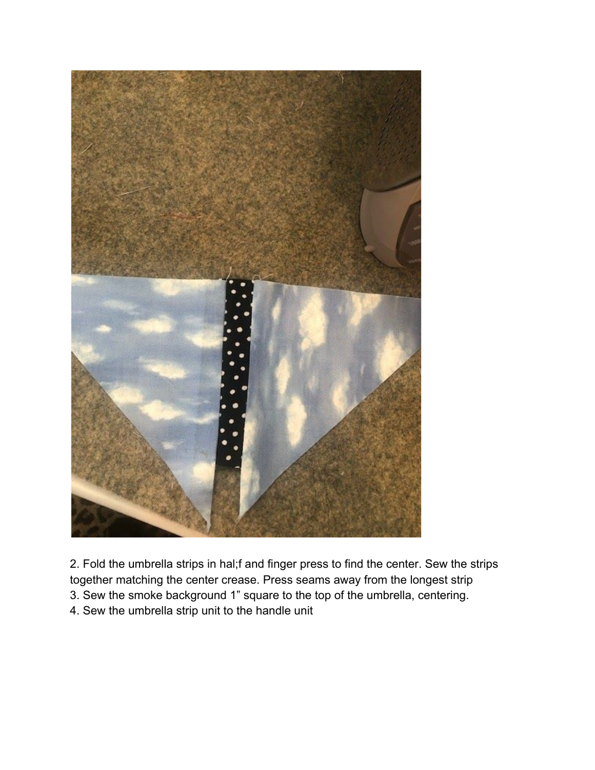

2. Fold the umbrella strips in hal;f and finger press to find the center. Sew the strips together matching the center crease. Press seams away from the longest strip 3. Sew the smoke background 1" square to the top of the umbrella, centering. 4. Sew the umbrella strip unit to the handle unit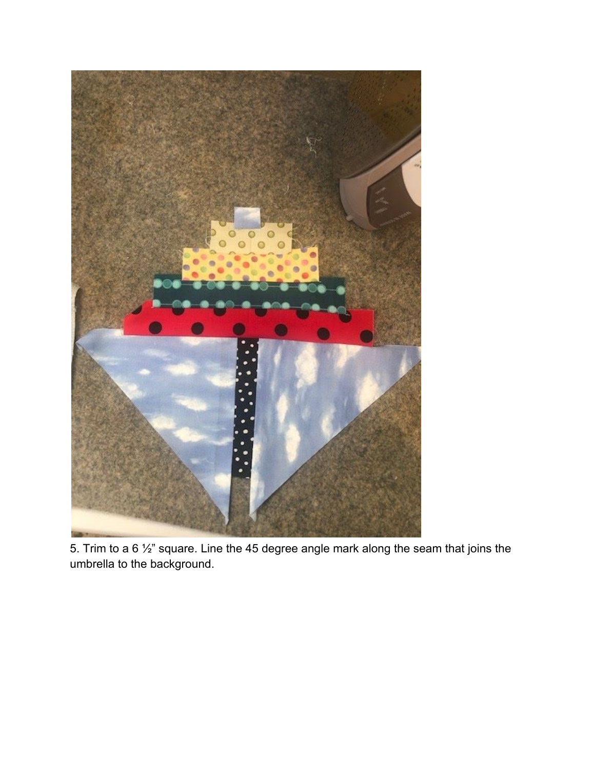

5. Trim to a 6 ½" square. Line the 45 degree angle mark along the seam that joins the umbrella to the background.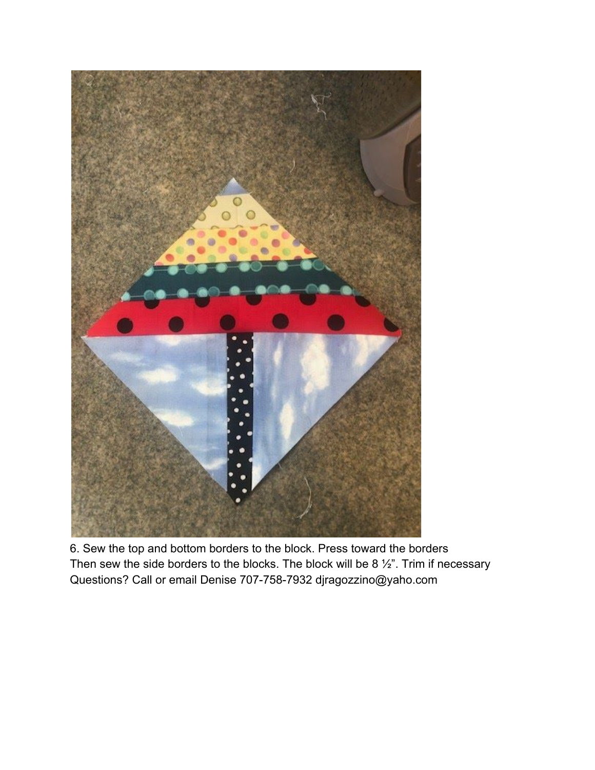

6. Sew the top and bottom borders to the block. Press toward the borders Then sew the side borders to the blocks. The block will be 8  $\frac{1}{2}$ ". Trim if necessary Questions? Call or email Denise 707-758-7932 djragozzino@yaho.com